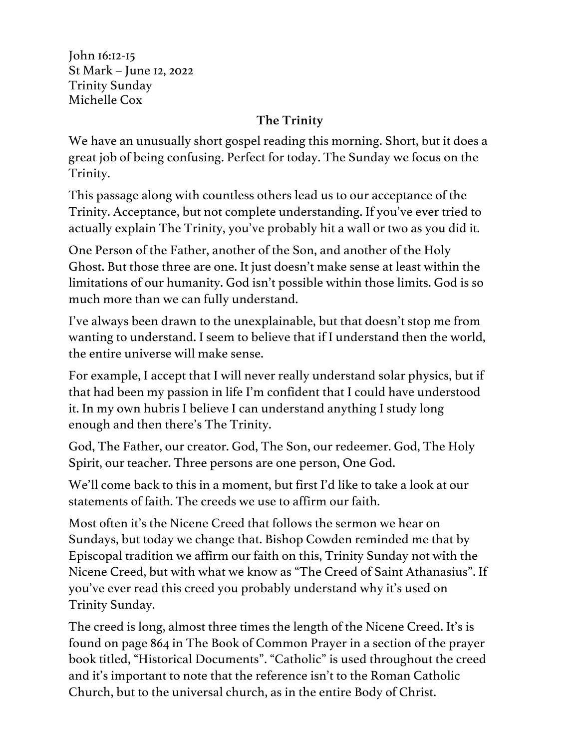John 16:12-15 St Mark – June 12, 2022 Trinity Sunday Michelle Cox

## **The Trinity**

We have an unusually short gospel reading this morning. Short, but it does a great job of being confusing. Perfect for today. The Sunday we focus on the Trinity.

This passage along with countless others lead us to our acceptance of the Trinity. Acceptance, but not complete understanding. If you've ever tried to actually explain The Trinity, you've probably hit a wall or two as you did it.

One Person of the Father, another of the Son, and another of the Holy Ghost. But those three are one. It just doesn't make sense at least within the limitations of our humanity. God isn't possible within those limits. God is so much more than we can fully understand.

I've always been drawn to the unexplainable, but that doesn't stop me from wanting to understand. I seem to believe that if I understand then the world, the entire universe will make sense.

For example, I accept that I will never really understand solar physics, but if that had been my passion in life I'm confident that I could have understood it. In my own hubris I believe I can understand anything I study long enough and then there's The Trinity.

God, The Father, our creator. God, The Son, our redeemer. God, The Holy Spirit, our teacher. Three persons are one person, One God.

We'll come back to this in a moment, but first I'd like to take a look at our statements of faith. The creeds we use to affirm our faith.

Most often it's the Nicene Creed that follows the sermon we hear on Sundays, but today we change that. Bishop Cowden reminded me that by Episcopal tradition we affirm our faith on this, Trinity Sunday not with the Nicene Creed, but with what we know as "The Creed of Saint Athanasius". If you've ever read this creed you probably understand why it's used on Trinity Sunday.

The creed is long, almost three times the length of the Nicene Creed. It's is found on page 864 in The Book of Common Prayer in a section of the prayer book titled, "Historical Documents". "Catholic" is used throughout the creed and it's important to note that the reference isn't to the Roman Catholic Church, but to the universal church, as in the entire Body of Christ.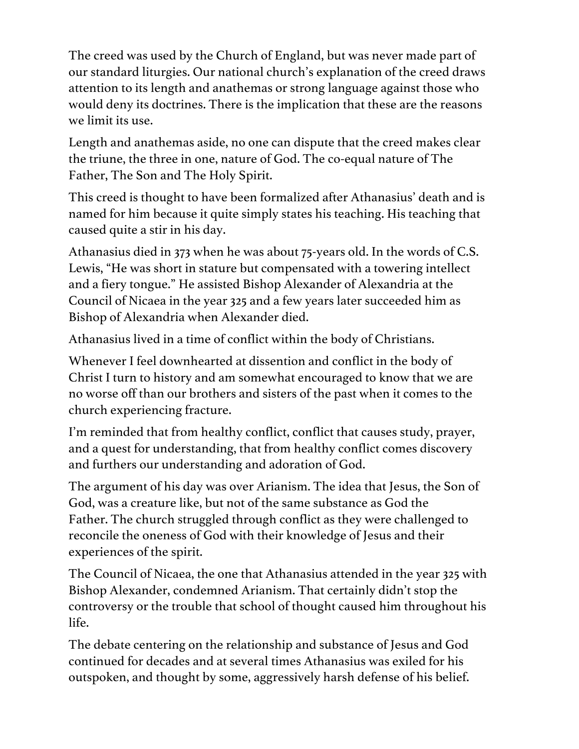The creed was used by the Church of England, but was never made part of our standard liturgies. Our national church's explanation of the creed draws attention to its length and anathemas or strong language against those who would deny its doctrines. There is the implication that these are the reasons we limit its use.

Length and anathemas aside, no one can dispute that the creed makes clear the triune, the three in one, nature of God. The co-equal nature of The Father, The Son and The Holy Spirit.

This creed is thought to have been formalized after Athanasius' death and is named for him because it quite simply states his teaching. His teaching that caused quite a stir in his day.

Athanasius died in 373 when he was about 75-years old. In the words of C.S. Lewis, "He was short in stature but compensated with a towering intellect and a fiery tongue." He assisted Bishop Alexander of Alexandria at the Council of Nicaea in the year 325 and a few years later succeeded him as Bishop of Alexandria when Alexander died.

Athanasius lived in a time of conflict within the body of Christians.

Whenever I feel downhearted at dissention and conflict in the body of Christ I turn to history and am somewhat encouraged to know that we are no worse off than our brothers and sisters of the past when it comes to the church experiencing fracture.

I'm reminded that from healthy conflict, conflict that causes study, prayer, and a quest for understanding, that from healthy conflict comes discovery and furthers our understanding and adoration of God.

The argument of his day was over Arianism. The idea that Jesus, the Son of God, was a creature like, but not of the same substance as God the Father. The church struggled through conflict as they were challenged to reconcile the oneness of God with their knowledge of Jesus and their experiences of the spirit.

The Council of Nicaea, the one that Athanasius attended in the year 325 with Bishop Alexander, condemned Arianism. That certainly didn't stop the controversy or the trouble that school of thought caused him throughout his life.

The debate centering on the relationship and substance of Jesus and God continued for decades and at several times Athanasius was exiled for his outspoken, and thought by some, aggressively harsh defense of his belief.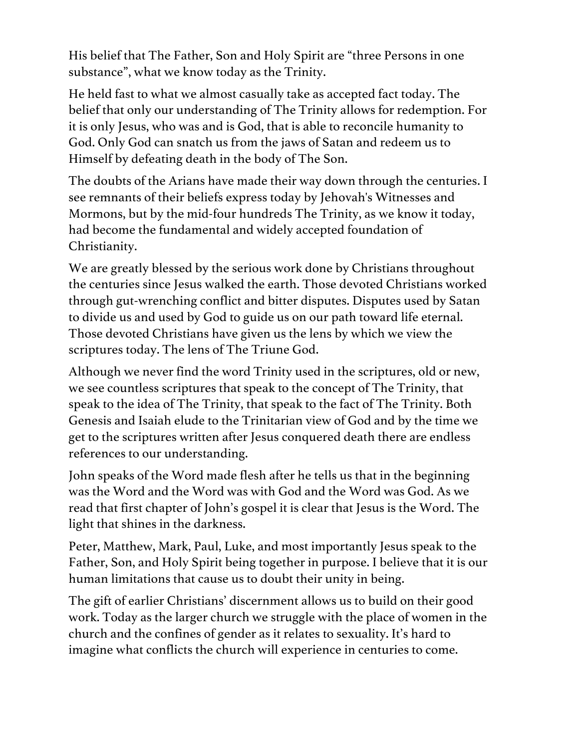His belief that The Father, Son and Holy Spirit are "three Persons in one substance", what we know today as the Trinity.

He held fast to what we almost casually take as accepted fact today. The belief that only our understanding of The Trinity allows for redemption. For it is only Jesus, who was and is God, that is able to reconcile humanity to God. Only God can snatch us from the jaws of Satan and redeem us to Himself by defeating death in the body of The Son.

The doubts of the Arians have made their way down through the centuries. I see remnants of their beliefs express today by Jehovah's Witnesses and Mormons, but by the mid-four hundreds The Trinity, as we know it today, had become the fundamental and widely accepted foundation of Christianity.

We are greatly blessed by the serious work done by Christians throughout the centuries since Jesus walked the earth. Those devoted Christians worked through gut-wrenching conflict and bitter disputes. Disputes used by Satan to divide us and used by God to guide us on our path toward life eternal. Those devoted Christians have given us the lens by which we view the scriptures today. The lens of The Triune God.

Although we never find the word Trinity used in the scriptures, old or new, we see countless scriptures that speak to the concept of The Trinity, that speak to the idea of The Trinity, that speak to the fact of The Trinity. Both Genesis and Isaiah elude to the Trinitarian view of God and by the time we get to the scriptures written after Jesus conquered death there are endless references to our understanding.

John speaks of the Word made flesh after he tells us that in the beginning was the Word and the Word was with God and the Word was God. As we read that first chapter of John's gospel it is clear that Jesus is the Word. The light that shines in the darkness.

Peter, Matthew, Mark, Paul, Luke, and most importantly Jesus speak to the Father, Son, and Holy Spirit being together in purpose. I believe that it is our human limitations that cause us to doubt their unity in being.

The gift of earlier Christians' discernment allows us to build on their good work. Today as the larger church we struggle with the place of women in the church and the confines of gender as it relates to sexuality. It's hard to imagine what conflicts the church will experience in centuries to come.